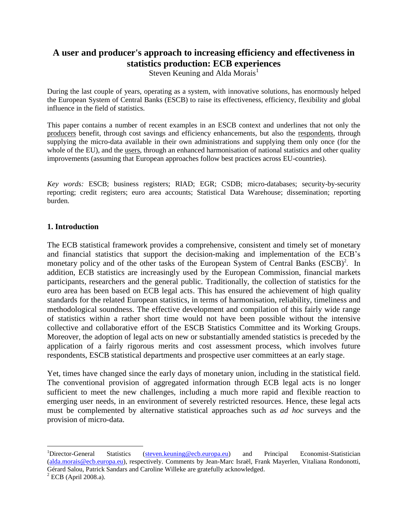# **A user and producer's approach to increasing efficiency and effectiveness in statistics production: ECB experiences**

Steven Keuning and Alda Morais<sup>1</sup>

During the last couple of years, operating as a system, with innovative solutions, has enormously helped the European System of Central Banks (ESCB) to raise its effectiveness, efficiency, flexibility and global influence in the field of statistics.

This paper contains a number of recent examples in an ESCB context and underlines that not only the producers benefit, through cost savings and efficiency enhancements, but also the respondents, through supplying the micro-data available in their own administrations and supplying them only once (for the whole of the EU), and the users, through an enhanced harmonisation of national statistics and other quality improvements (assuming that European approaches follow best practices across EU-countries).

*Key words:* ESCB; business registers; RIAD; EGR; CSDB; micro-databases; security-by-security reporting; credit registers; euro area accounts; Statistical Data Warehouse; dissemination; reporting burden.

#### **1. Introduction**

The ECB statistical framework provides a comprehensive, consistent and timely set of monetary and financial statistics that support the decision-making and implementation of the ECB"s monetary policy and of the other tasks of the European System of Central Banks (ESCB)<sup>2</sup>. In addition, ECB statistics are increasingly used by the European Commission, financial markets participants, researchers and the general public. Traditionally, the collection of statistics for the euro area has been based on ECB legal acts. This has ensured the achievement of high quality standards for the related European statistics, in terms of harmonisation, reliability, timeliness and methodological soundness. The effective development and compilation of this fairly wide range of statistics within a rather short time would not have been possible without the intensive collective and collaborative effort of the ESCB Statistics Committee and its Working Groups. Moreover, the adoption of legal acts on new or substantially amended statistics is preceded by the application of a fairly rigorous merits and cost assessment process, which involves future respondents, ESCB statistical departments and prospective user committees at an early stage.

Yet, times have changed since the early days of monetary union, including in the statistical field. The conventional provision of aggregated information through ECB legal acts is no longer sufficient to meet the new challenges, including a much more rapid and flexible reaction to emerging user needs, in an environment of severely restricted resources. Hence, these legal acts must be complemented by alternative statistical approaches such as *ad hoc* surveys and the provision of micro-data.

<sup>&</sup>lt;sup>1</sup>Director-General Statistics [\(steven.keuning@ecb.europa.eu\)](mailto:steven.keuning@ecb.europa.eu) and Principal Economist-Statistician [\(alda.morais@ecb.europa.eu\)](mailto:alda.morais@ecb.europa.eu), respectively. Comments by Jean-Marc Israël, Frank Mayerlen, Vitaliana Rondonotti, Gérard Salou, Patrick Sandars and Caroline Willeke are gratefully acknowledged.

 $<sup>2</sup>$  ECB (April 2008.a).</sup>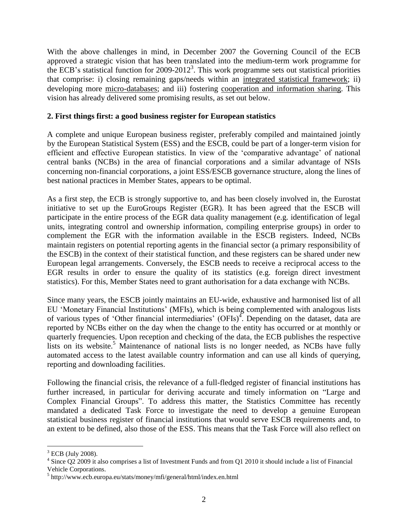With the above challenges in mind, in December 2007 the Governing Council of the ECB approved a strategic vision that has been translated into the medium-term work programme for the ECB's statistical function for 2009-2012<sup>3</sup>. This work programme sets out statistical priorities that comprise: i) closing remaining gaps/needs within an integrated statistical framework; ii) developing more micro-databases; and iii) fostering cooperation and information sharing. This vision has already delivered some promising results, as set out below.

#### **2. First things first: a good business register for European statistics**

A complete and unique European business register, preferably compiled and maintained jointly by the European Statistical System (ESS) and the ESCB, could be part of a longer-term vision for efficient and effective European statistics. In view of the "comparative advantage" of national central banks (NCBs) in the area of financial corporations and a similar advantage of NSIs concerning non-financial corporations, a joint ESS/ESCB governance structure, along the lines of best national practices in Member States, appears to be optimal.

As a first step, the ECB is strongly supportive to, and has been closely involved in, the Eurostat initiative to set up the EuroGroups Register (EGR). It has been agreed that the ESCB will participate in the entire process of the EGR data quality management (e.g. identification of legal units, integrating control and ownership information, compiling enterprise groups) in order to complement the EGR with the information available in the ESCB registers. Indeed, NCBs maintain registers on potential reporting agents in the financial sector (a primary responsibility of the ESCB) in the context of their statistical function, and these registers can be shared under new European legal arrangements. Conversely, the ESCB needs to receive a reciprocal access to the EGR results in order to ensure the quality of its statistics (e.g. foreign direct investment statistics). For this, Member States need to grant authorisation for a data exchange with NCBs.

Since many years, the ESCB jointly maintains an EU-wide, exhaustive and harmonised list of all EU "Monetary Financial Institutions" (MFIs), which is being complemented with analogous lists of various types of 'Other financial intermediaries' (OFIs)<sup>4</sup>. Depending on the dataset, data are reported by NCBs either on the day when the change to the entity has occurred or at monthly or quarterly frequencies. Upon reception and checking of the data, the ECB publishes the respective lists on its website.<sup>5</sup> Maintenance of national lists is no longer needed, as NCBs have fully automated access to the latest available country information and can use all kinds of querying, reporting and downloading facilities.

Following the financial crisis, the relevance of a full-fledged register of financial institutions has further increased, in particular for deriving accurate and timely information on "Large and Complex Financial Groups". To address this matter, the Statistics Committee has recently mandated a dedicated Task Force to investigate the need to develop a genuine European statistical business register of financial institutions that would serve ESCB requirements and, to an extent to be defined, also those of the ESS. This means that the Task Force will also reflect on

 $3$  ECB (July 2008).

<sup>&</sup>lt;sup>4</sup> Since Q2 2009 it also comprises a list of Investment Funds and from Q1 2010 it should include a list of Financial Vehicle Corporations.

<sup>5</sup> http://www.ecb.europa.eu/stats/money/mfi/general/html/index.en.html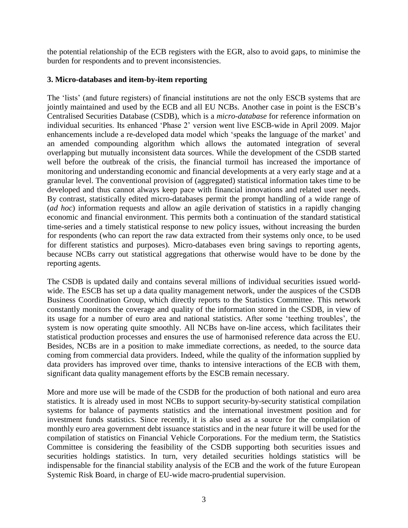the potential relationship of the ECB registers with the EGR, also to avoid gaps, to minimise the burden for respondents and to prevent inconsistencies.

## **3. Micro-databases and item-by-item reporting**

The "lists" (and future registers) of financial institutions are not the only ESCB systems that are jointly maintained and used by the ECB and all EU NCBs. Another case in point is the ESCB's Centralised Securities Database (CSDB), which is a *micro-database* for reference information on individual securities. Its enhanced "Phase 2" version went live ESCB-wide in April 2009. Major enhancements include a re-developed data model which 'speaks the language of the market' and an amended compounding algorithm which allows the automated integration of several overlapping but mutually inconsistent data sources. While the development of the CSDB started well before the outbreak of the crisis, the financial turmoil has increased the importance of monitoring and understanding economic and financial developments at a very early stage and at a granular level. The conventional provision of (aggregated) statistical information takes time to be developed and thus cannot always keep pace with financial innovations and related user needs. By contrast, statistically edited micro-databases permit the prompt handling of a wide range of (*ad hoc*) information requests and allow an agile derivation of statistics in a rapidly changing economic and financial environment. This permits both a continuation of the standard statistical time-series and a timely statistical response to new policy issues, without increasing the burden for respondents (who can report the raw data extracted from their systems only once, to be used for different statistics and purposes). Micro-databases even bring savings to reporting agents, because NCBs carry out statistical aggregations that otherwise would have to be done by the reporting agents.

The CSDB is updated daily and contains several millions of individual securities issued worldwide. The ESCB has set up a data quality management network, under the auspices of the CSDB Business Coordination Group, which directly reports to the Statistics Committee. This network constantly monitors the coverage and quality of the information stored in the CSDB, in view of its usage for a number of euro area and national statistics. After some "teething troubles", the system is now operating quite smoothly. All NCBs have on-line access, which facilitates their statistical production processes and ensures the use of harmonised reference data across the EU. Besides, NCBs are in a position to make immediate corrections, as needed, to the source data coming from commercial data providers. Indeed, while the quality of the information supplied by data providers has improved over time, thanks to intensive interactions of the ECB with them, significant data quality management efforts by the ESCB remain necessary.

More and more use will be made of the CSDB for the production of both national and euro area statistics. It is already used in most NCBs to support security-by-security statistical compilation systems for balance of payments statistics and the international investment position and for investment funds statistics. Since recently, it is also used as a source for the compilation of monthly euro area government debt issuance statistics and in the near future it will be used for the compilation of statistics on Financial Vehicle Corporations. For the medium term, the Statistics Committee is considering the feasibility of the CSDB supporting both securities issues and securities holdings statistics. In turn, very detailed securities holdings statistics will be indispensable for the financial stability analysis of the ECB and the work of the future European Systemic Risk Board, in charge of EU-wide macro-prudential supervision.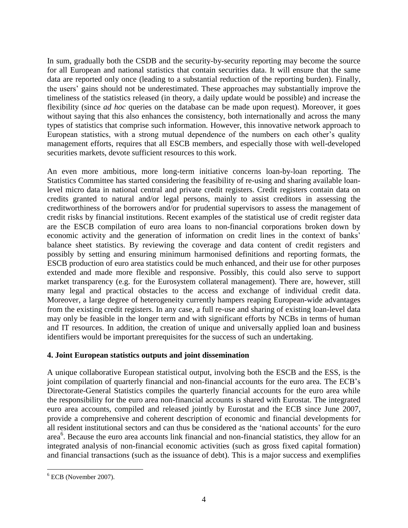In sum, gradually both the CSDB and the security-by-security reporting may become the source for all European and national statistics that contain securities data. It will ensure that the same data are reported only once (leading to a substantial reduction of the reporting burden). Finally, the users" gains should not be underestimated. These approaches may substantially improve the timeliness of the statistics released (in theory, a daily update would be possible) and increase the flexibility (since *ad hoc* queries on the database can be made upon request). Moreover, it goes without saying that this also enhances the consistency, both internationally and across the many types of statistics that comprise such information. However, this innovative network approach to European statistics, with a strong mutual dependence of the numbers on each other"s quality management efforts, requires that all ESCB members, and especially those with well-developed securities markets, devote sufficient resources to this work.

An even more ambitious, more long-term initiative concerns loan-by-loan reporting. The Statistics Committee has started considering the feasibility of re-using and sharing available loanlevel micro data in national central and private credit registers. Credit registers contain data on credits granted to natural and/or legal persons, mainly to assist creditors in assessing the creditworthiness of the borrowers and/or for prudential supervisors to assess the management of credit risks by financial institutions. Recent examples of the statistical use of credit register data are the ESCB compilation of euro area loans to non-financial corporations broken down by economic activity and the generation of information on credit lines in the context of banks" balance sheet statistics. By reviewing the coverage and data content of credit registers and possibly by setting and ensuring minimum harmonised definitions and reporting formats, the ESCB production of euro area statistics could be much enhanced, and their use for other purposes extended and made more flexible and responsive. Possibly, this could also serve to support market transparency (e.g. for the Eurosystem collateral management). There are, however, still many legal and practical obstacles to the access and exchange of individual credit data. Moreover, a large degree of heterogeneity currently hampers reaping European-wide advantages from the existing credit registers. In any case, a full re-use and sharing of existing loan-level data may only be feasible in the longer term and with significant efforts by NCBs in terms of human and IT resources. In addition, the creation of unique and universally applied loan and business identifiers would be important prerequisites for the success of such an undertaking.

# **4. Joint European statistics outputs and joint dissemination**

A unique collaborative European statistical output, involving both the ESCB and the ESS, is the joint compilation of quarterly financial and non-financial accounts for the euro area. The ECB's Directorate-General Statistics compiles the quarterly financial accounts for the euro area while the responsibility for the euro area non-financial accounts is shared with Eurostat. The integrated euro area accounts, compiled and released jointly by Eurostat and the ECB since June 2007, provide a comprehensive and coherent description of economic and financial developments for all resident institutional sectors and can thus be considered as the "national accounts" for the euro area<sup>6</sup>. Because the euro area accounts link financial and non-financial statistics, they allow for an integrated analysis of non-financial economic activities (such as gross fixed capital formation) and financial transactions (such as the issuance of debt). This is a major success and exemplifies

 $\overline{a}$ <sup>6</sup> ECB (November 2007).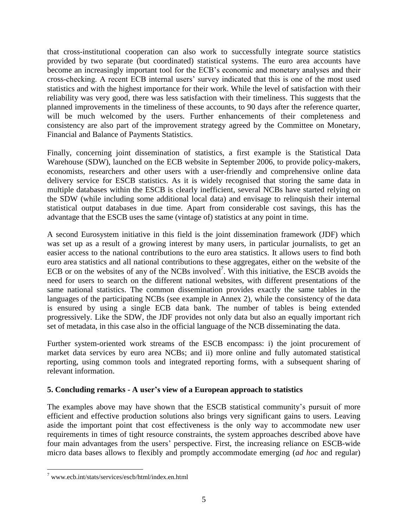that cross-institutional cooperation can also work to successfully integrate source statistics provided by two separate (but coordinated) statistical systems. The euro area accounts have become an increasingly important tool for the ECB's economic and monetary analyses and their cross-checking. A recent ECB internal users" survey indicated that this is one of the most used statistics and with the highest importance for their work. While the level of satisfaction with their reliability was very good, there was less satisfaction with their timeliness. This suggests that the planned improvements in the timeliness of these accounts, to 90 days after the reference quarter, will be much welcomed by the users. Further enhancements of their completeness and consistency are also part of the improvement strategy agreed by the Committee on Monetary, Financial and Balance of Payments Statistics.

Finally, concerning joint dissemination of statistics, a first example is the Statistical Data Warehouse (SDW), launched on the ECB website in September 2006, to provide policy-makers, economists, researchers and other users with a user-friendly and comprehensive online data delivery service for ESCB statistics. As it is widely recognised that storing the same data in multiple databases within the ESCB is clearly inefficient, several NCBs have started relying on the SDW (while including some additional local data) and envisage to relinquish their internal statistical output databases in due time. Apart from considerable cost savings, this has the advantage that the ESCB uses the same (vintage of) statistics at any point in time.

A second Eurosystem initiative in this field is the joint dissemination framework (JDF) which was set up as a result of a growing interest by many users, in particular journalists, to get an easier access to the national contributions to the euro area statistics. It allows users to find both euro area statistics and all national contributions to these aggregates, either on the website of the ECB or on the websites of any of the NCBs involved<sup>7</sup>. With this initiative, the ESCB avoids the need for users to search on the different national websites, with different presentations of the same national statistics. The common dissemination provides exactly the same tables in the languages of the participating NCBs (see example in Annex 2), while the consistency of the data is ensured by using a single ECB data bank. The number of tables is being extended progressively. Like the SDW, the JDF provides not only data but also an equally important rich set of metadata, in this case also in the official language of the NCB disseminating the data.

Further system-oriented work streams of the ESCB encompass: i) the joint procurement of market data services by euro area NCBs; and ii) more online and fully automated statistical reporting, using common tools and integrated reporting forms, with a subsequent sharing of relevant information.

# **5. Concluding remarks - A user's view of a European approach to statistics**

The examples above may have shown that the ESCB statistical community's pursuit of more efficient and effective production solutions also brings very significant gains to users. Leaving aside the important point that cost effectiveness is the only way to accommodate new user requirements in times of tight resource constraints, the system approaches described above have four main advantages from the users" perspective. First, the increasing reliance on ESCB-wide micro data bases allows to flexibly and promptly accommodate emerging (*ad hoc* and regular)

<sup>7</sup> [www.ecb.int/stats/services/escb/html/index.en.html](http://www.ecb.int/stats/services/escb/html/index.en.html)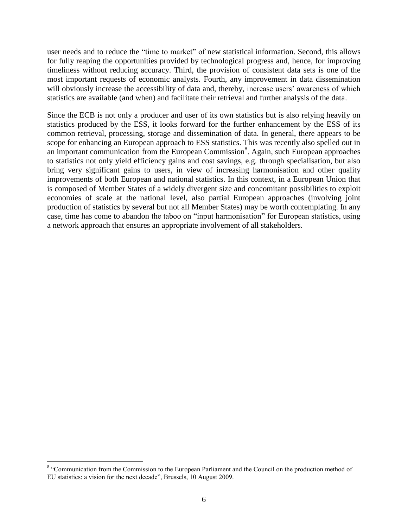user needs and to reduce the "time to market" of new statistical information. Second, this allows for fully reaping the opportunities provided by technological progress and, hence, for improving timeliness without reducing accuracy. Third, the provision of consistent data sets is one of the most important requests of economic analysts. Fourth, any improvement in data dissemination will obviously increase the accessibility of data and, thereby, increase users' awareness of which statistics are available (and when) and facilitate their retrieval and further analysis of the data.

Since the ECB is not only a producer and user of its own statistics but is also relying heavily on statistics produced by the ESS, it looks forward for the further enhancement by the ESS of its common retrieval, processing, storage and dissemination of data. In general, there appears to be scope for enhancing an European approach to ESS statistics. This was recently also spelled out in an important communication from the European Commission<sup>8</sup>. Again, such European approaches to statistics not only yield efficiency gains and cost savings, e.g. through specialisation, but also bring very significant gains to users, in view of increasing harmonisation and other quality improvements of both European and national statistics. In this context, in a European Union that is composed of Member States of a widely divergent size and concomitant possibilities to exploit economies of scale at the national level, also partial European approaches (involving joint production of statistics by several but not all Member States) may be worth contemplating. In any case, time has come to abandon the taboo on "input harmonisation" for European statistics, using a network approach that ensures an appropriate involvement of all stakeholders.

<sup>&</sup>lt;sup>8</sup> "Communication from the Commission to the European Parliament and the Council on the production method of EU statistics: a vision for the next decade", Brussels, 10 August 2009.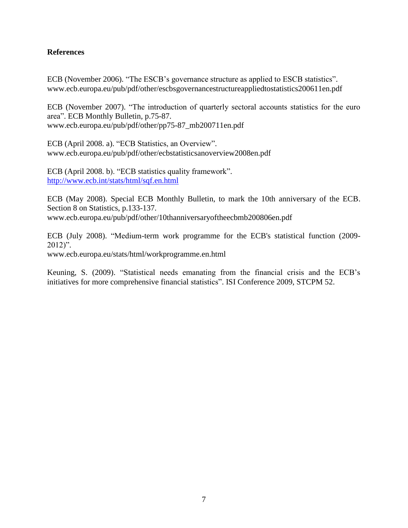## **References**

ECB (November 2006). "The ESCB's governance structure as applied to ESCB statistics". [www.ecb.europa.eu/pub/pdf/other/escbsgovernancestructureappliedtostatistics200611en.pdf](http://www.ecb.europa.eu/pub/pdf/other/escbsgovernancestructureappliedtostatistics200611en.pdf)

ECB (November 2007). "The introduction of quarterly sectoral accounts statistics for the euro area". ECB Monthly Bulletin, p.75-87. [www.ecb.europa.eu/pub/pdf/other/pp75-87\\_mb200711en.pdf](http://www.ecb.europa.eu/pub/pdf/other/pp75-87_mb200711en.pdf)

ECB (April 2008. a). "ECB Statistics, an Overview". [www.ecb.europa.eu/pub/pdf/other/ecbstatisticsanoverview2008en.pdf](http://www.ecb.europa.eu/pub/pdf/other/ecbstatisticsanoverview2008en.pdf)

ECB (April 2008. b). "ECB statistics quality framework". <http://www.ecb.int/stats/html/sqf.en.html>

ECB (May 2008). Special ECB Monthly Bulletin, to mark the 10th anniversary of the ECB. Section 8 on Statistics, p.133-137. [www.ecb.europa.eu/pub/pdf/other/10thanniversaryoftheecbmb200806en.pdf](http://www.ecb.europa.eu/pub/pdf/other/10thanniversaryoftheecbmb200806en.pdf)

ECB (July 2008). "Medium-term work programme for the ECB's statistical function (2009- 2012)".

[www.ecb.europa.eu/stats/html/workprogramme.en.html](http://www.ecb.europa.eu/stats/html/workprogramme.en.html)

Keuning, S. (2009). "Statistical needs emanating from the financial crisis and the ECB"s initiatives for more comprehensive financial statistics". ISI Conference 2009, STCPM 52.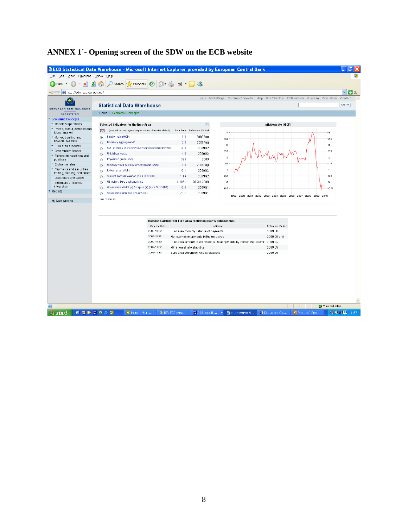| ø<br>Back                                            |                                                                 | 図 · 38                                                                 |                                                                                                                  |                                                             |                                  |
|------------------------------------------------------|-----------------------------------------------------------------|------------------------------------------------------------------------|------------------------------------------------------------------------------------------------------------------|-------------------------------------------------------------|----------------------------------|
|                                                      | $\beta - \alpha$<br>Search <b>Y</b> Favorites <b>(2)</b>        |                                                                        |                                                                                                                  |                                                             |                                  |
| Address http://sdw.ecb.europa.eu/                    |                                                                 |                                                                        |                                                                                                                  |                                                             | $\checkmark$<br>$\rightarrow$ Go |
| پ€<br><b>EUROPEAN CENTRAL BANK</b>                   | <b>Statistical Data Warehouse</b>                               |                                                                        | Login . My Settings . Currency Converter . Help . Site Directory . ECB website . Glossary . Disclaimer . Contact |                                                             | Search                           |
| <b>EUROSYSTEM</b>                                    | Home > Economic Concepts                                        |                                                                        |                                                                                                                  |                                                             |                                  |
| <b>Economic Concepts</b>                             |                                                                 |                                                                        |                                                                                                                  |                                                             |                                  |
| + Monetary operations                                | Selected Indicators for the Euro Area                           | (2)                                                                    |                                                                                                                  | Inflation rate (HICP)                                       |                                  |
| + Prices, output, demand and<br>labour market        | (annual percentage changes unless otherwise stated)<br>∞        | Euro Area Reference Period                                             | $\overline{4}$                                                                                                   |                                                             |                                  |
| + Money, banking and                                 | Inflation rate (HICP)<br>$\odot$                                | $-0.3$<br>2009Sep                                                      | 3.5                                                                                                              |                                                             | 3.5                              |
| financial markets                                    | Monetary aggregate M3<br>$\circ$                                | 2.5<br>2009Aug                                                         |                                                                                                                  |                                                             |                                  |
| + Euro area accounts                                 | GDP in prices of the previous year (economic growth)<br>$\circ$ | 2009Q2<br>$-4.8$                                                       | з                                                                                                                |                                                             | з                                |
| + Government finance                                 | Unit labour costs<br>$\circ$                                    | 4.8<br>2009Q2                                                          | 2.6                                                                                                              |                                                             | 2.5                              |
| + External transactions and<br>positions             | Population (in millions)<br>$\circ$                             | 329<br>2009                                                            | $\mathbf 2$                                                                                                      |                                                             | $\overline{2}$                   |
| + Exchange rates                                     | Unemployment rate (as a % of labour force)<br>$\circ$           | 9.6<br>2009Aug                                                         | 1.5                                                                                                              |                                                             | 1.5                              |
| + Payments and securities                            | Labour productivity<br>$\circ$                                  | $-3.1$<br>2009Q2                                                       | $\overline{1}$                                                                                                   |                                                             | 1                                |
| trading, clearing, settlement<br>Banknotes and Coins | Current account balance (as a % of GDP)<br>$\circ$              | $-1.14$<br>2009Q2                                                      | 0.5                                                                                                              |                                                             | 0.5                              |
| Indicators of financial                              | US dollar / Euro exchange rate<br>$\circ$                       | 20 Oct 2009<br>1.4971                                                  | o                                                                                                                |                                                             | 0                                |
| integration                                          | Government deficit (-) / surplus (+) (as a % of GDP)<br>$\circ$ | $-5.6$<br>2009Q1                                                       | $-0.5$                                                                                                           |                                                             | $-0.5$                           |
| Reports                                              | Government debt (as a % of GDP)<br>$\circ$                      | 73.1<br>2009Q1                                                         |                                                                                                                  | 1999 2000 2001 2002 2003 2004 2005 2006 2007 2008 2009 2010 |                                  |
|                                                      |                                                                 |                                                                        |                                                                                                                  |                                                             |                                  |
|                                                      |                                                                 | Release Calendar for Euro Area Statistics (next 5 publications)        |                                                                                                                  |                                                             |                                  |
|                                                      | Release Date                                                    |                                                                        | Indicator                                                                                                        | Reference Period                                            |                                  |
|                                                      | 2009-10-22                                                      | Euro area monthly balance of payments                                  |                                                                                                                  | 2009 08                                                     |                                  |
|                                                      | 2009-10-27<br>2009-10-29                                        | Monetary developments in the euro area                                 |                                                                                                                  | 2009 09 end                                                 |                                  |
|                                                      | 2009-11-02                                                      |                                                                        | Euro area economic and financial developments by institutional sector 2009 Q2                                    | 2009 09                                                     |                                  |
|                                                      | 2009-11-13                                                      | MFI interest rate statistics<br>Euro area securities issues statistics |                                                                                                                  | 2009 09                                                     |                                  |
|                                                      |                                                                 |                                                                        |                                                                                                                  |                                                             |                                  |

# **ANNEX 1`- Opening screen of the SDW on the ECB website**